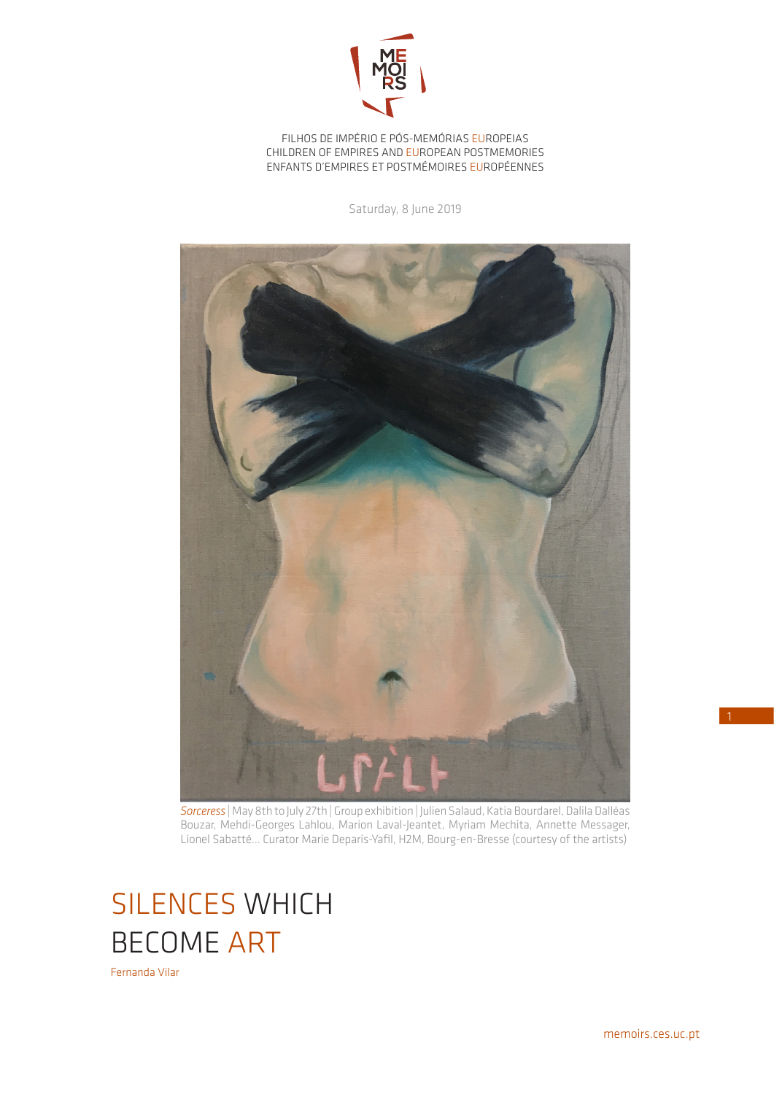

FILHOS DE IMPÉRIO E PÓS-MEMÓRIAS EUROPEIAS CHILDREN OF EMPIRES AND EUROPEAN POSTMEMORIES ENFANTS D'EMPIRES ET POSTMÉMOIRES EUROPÉENNES

Saturday, 8 June 2019



*Sorceress* | May 8th to July 27th | Group exhibition | Julien Salaud, Katia Bourdarel, Dalila Dalléas Bouzar, Mehdi-Georges Lahlou, Marion Laval-Jeantet, Myriam Mechita, Annette Messager, Lionel Sabatté... Curator Marie Deparis-Yafil, H2M, Bourg-en-Bresse (courtesy of the artists)

## SILENCES WHICH BECOME ART

Fernanda Vilar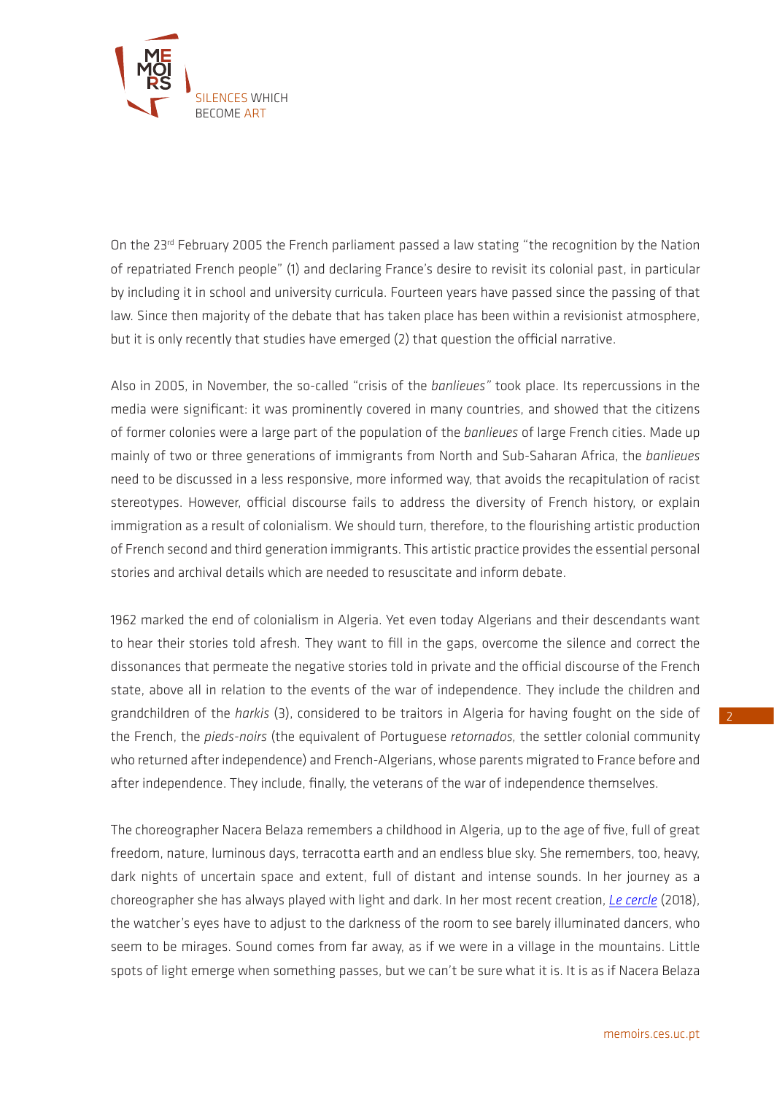

On the 23<sup>rd</sup> February 2005 the French parliament passed a law stating "the recognition by the Nation of repatriated French people" (1) and declaring France's desire to revisit its colonial past, in particular by including it in school and university curricula. Fourteen years have passed since the passing of that law. Since then majority of the debate that has taken place has been within a revisionist atmosphere, but it is only recently that studies have emerged (2) that question the official narrative.

Also in 2005, in November, the so-called "crisis of the *banlieues"* took place. Its repercussions in the media were significant: it was prominently covered in many countries, and showed that the citizens of former colonies were a large part of the population of the *banlieues* of large French cities. Made up mainly of two or three generations of immigrants from North and Sub-Saharan Africa, the *banlieues* need to be discussed in a less responsive, more informed way, that avoids the recapitulation of racist stereotypes. However, official discourse fails to address the diversity of French history, or explain immigration as a result of colonialism. We should turn, therefore, to the flourishing artistic production of French second and third generation immigrants. This artistic practice provides the essential personal stories and archival details which are needed to resuscitate and inform debate.

1962 marked the end of colonialism in Algeria. Yet even today Algerians and their descendants want to hear their stories told afresh. They want to fill in the gaps, overcome the silence and correct the dissonances that permeate the negative stories told in private and the official discourse of the French state, above all in relation to the events of the war of independence. They include the children and grandchildren of the *harkis* (3), considered to be traitors in Algeria for having fought on the side of the French, the *pieds-noirs* (the equivalent of Portuguese *retornados,* the settler colonial community who returned after independence) and French-Algerians, whose parents migrated to France before and after independence. They include, finally, the veterans of the war of independence themselves.

The choreographer Nacera Belaza remembers a childhood in Algeria, up to the age of five, full of great freedom, nature, luminous days, terracotta earth and an endless blue sky. She remembers, too, heavy, dark nights of uncertain space and extent, full of distant and intense sounds. In her journey as a choreographer she has always played with light and dark. In her most recent creation, *[Le cercle](https://vimeo.com/263130484)* (2018), the watcher's eyes have to adjust to the darkness of the room to see barely illuminated dancers, who seem to be mirages. Sound comes from far away, as if we were in a village in the mountains. Little spots of light emerge when something passes, but we can't be sure what it is. It is as if Nacera Belaza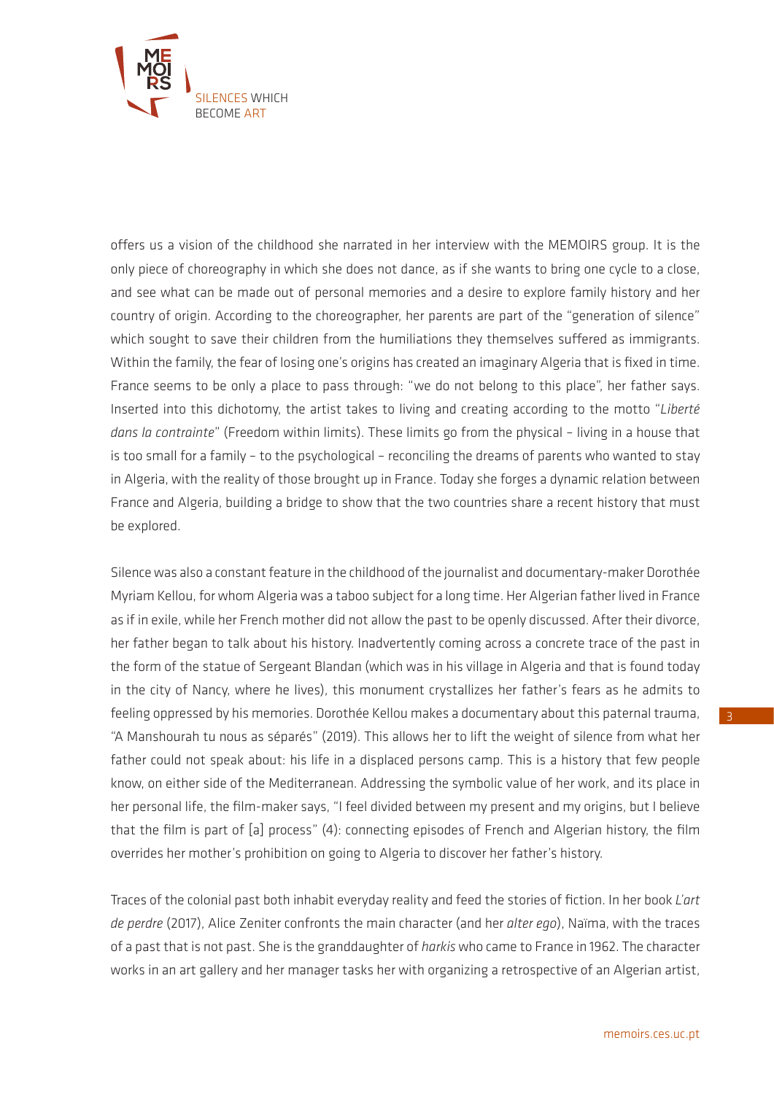

offers us a vision of the childhood she narrated in her interview with the MEMOIRS group. It is the only piece of choreography in which she does not dance, as if she wants to bring one cycle to a close, and see what can be made out of personal memories and a desire to explore family history and her country of origin. According to the choreographer, her parents are part of the "generation of silence" which sought to save their children from the humiliations they themselves suffered as immigrants. Within the family, the fear of losing one's origins has created an imaginary Algeria that is fixed in time. France seems to be only a place to pass through: "we do not belong to this place", her father says. Inserted into this dichotomy, the artist takes to living and creating according to the motto "*Liberté dans la contrainte*" (Freedom within limits). These limits go from the physical – living in a house that is too small for a family – to the psychological – reconciling the dreams of parents who wanted to stay in Algeria, with the reality of those brought up in France. Today she forges a dynamic relation between France and Algeria, building a bridge to show that the two countries share a recent history that must be explored.

Silence was also a constant feature in the childhood of the journalist and documentary-maker Dorothée Myriam Kellou, for whom Algeria was a taboo subject for a long time. Her Algerian father lived in France as if in exile, while her French mother did not allow the past to be openly discussed. After their divorce, her father began to talk about his history. Inadvertently coming across a concrete trace of the past in the form of the statue of Sergeant Blandan (which was in his village in Algeria and that is found today in the city of Nancy, where he lives), this monument crystallizes her father's fears as he admits to feeling oppressed by his memories. Dorothée Kellou makes a documentary about this paternal trauma, "A Manshourah tu nous as séparés" (2019). This allows her to lift the weight of silence from what her father could not speak about: his life in a displaced persons camp. This is a history that few people know, on either side of the Mediterranean. Addressing the symbolic value of her work, and its place in her personal life, the film-maker says, "I feel divided between my present and my origins, but I believe that the film is part of [a] process" (4): connecting episodes of French and Algerian history, the film overrides her mother's prohibition on going to Algeria to discover her father's history.

Traces of the colonial past both inhabit everyday reality and feed the stories of fiction. In her book *L'art de perdre* (2017), Alice Zeniter confronts the main character (and her *alter ego*), Naïma, with the traces of a past that is not past. She is the granddaughter of *harkis* who came to France in 1962. The character works in an art gallery and her manager tasks her with organizing a retrospective of an Algerian artist,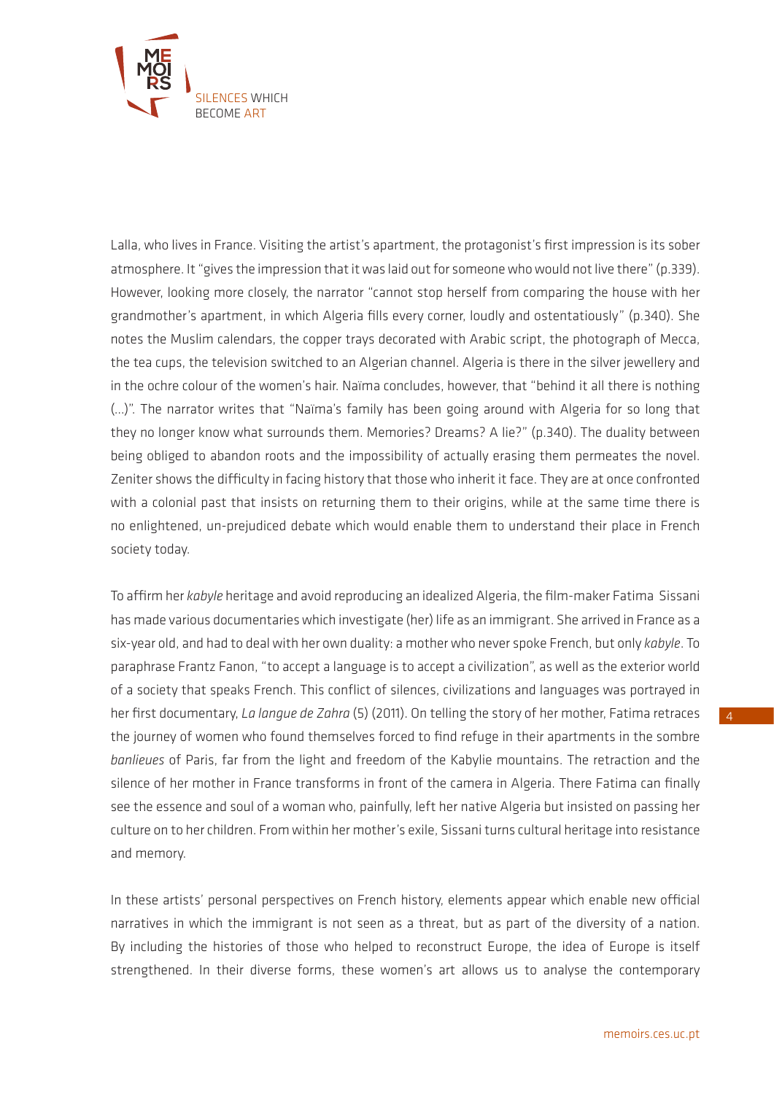

Lalla, who lives in France. Visiting the artist's apartment, the protagonist's first impression is its sober atmosphere. It "gives the impression that it was laid out for someone who would not live there" (p.339). However, looking more closely, the narrator "cannot stop herself from comparing the house with her grandmother's apartment, in which Algeria fills every corner, loudly and ostentatiously" (p.340). She notes the Muslim calendars, the copper trays decorated with Arabic script, the photograph of Mecca, the tea cups, the television switched to an Algerian channel. Algeria is there in the silver jewellery and in the ochre colour of the women's hair. Naïma concludes, however, that "behind it all there is nothing (…)". The narrator writes that "Naïma's family has been going around with Algeria for so long that they no longer know what surrounds them. Memories? Dreams? A lie?" (p.340). The duality between being obliged to abandon roots and the impossibility of actually erasing them permeates the novel. Zeniter shows the difficulty in facing history that those who inherit it face. They are at once confronted with a colonial past that insists on returning them to their origins, while at the same time there is no enlightened, un-prejudiced debate which would enable them to understand their place in French society today.

To affirm her *kabyle* heritage and avoid reproducing an idealized Algeria, the film-maker Fatima Sissani has made various documentaries which investigate (her) life as an immigrant. She arrived in France as a six-year old, and had to deal with her own duality: a mother who never spoke French, but only *kabyle*. To paraphrase Frantz Fanon, "to accept a language is to accept a civilization", as well as the exterior world of a society that speaks French. This conflict of silences, civilizations and languages was portrayed in her first documentary, *La langue de Zahra* (5) (2011). On telling the story of her mother, Fatima retraces the journey of women who found themselves forced to find refuge in their apartments in the sombre *banlieues* of Paris, far from the light and freedom of the Kabylie mountains. The retraction and the silence of her mother in France transforms in front of the camera in Algeria. There Fatima can finally see the essence and soul of a woman who, painfully, left her native Algeria but insisted on passing her culture on to her children. From within her mother's exile, Sissani turns cultural heritage into resistance and memory.

In these artists' personal perspectives on French history, elements appear which enable new official narratives in which the immigrant is not seen as a threat, but as part of the diversity of a nation. By including the histories of those who helped to reconstruct Europe, the idea of Europe is itself strengthened. In their diverse forms, these women's art allows us to analyse the contemporary